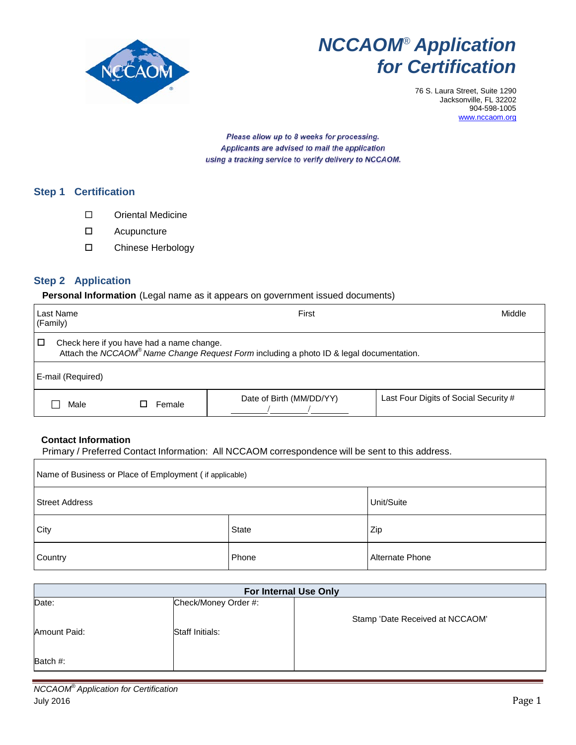

# *NCCAOM® Application for Certification*

76 S. Laura Street, Suite 1290 Jacksonville, FL 32202 904-598-1005 [www.nccaom.org](http://www.nccaom.org/)

Please allow up to 8 weeks for processing. Applicants are advised to mail the application using a tracking service to verify delivery to NCCAOM.

## **Step 1 Certification**

- Oriental Medicine
- Acupuncture
- Chinese Herbology

## **Step 2 Application**

#### **Personal Information** (Legal name as it appears on government issued documents)

| Last Name<br>(Family) |                                                                                                                                                  |        | First                    | Middle                                |  |  |
|-----------------------|--------------------------------------------------------------------------------------------------------------------------------------------------|--------|--------------------------|---------------------------------------|--|--|
| □                     | Check here if you have had a name change.<br>Attach the NCCAOM <sup>®</sup> Name Change Request Form including a photo ID & legal documentation. |        |                          |                                       |  |  |
|                       | E-mail (Required)                                                                                                                                |        |                          |                                       |  |  |
|                       | Male                                                                                                                                             | Female | Date of Birth (MM/DD/YY) | Last Four Digits of Social Security # |  |  |

### **Contact Information**

Primary / Preferred Contact Information: All NCCAOM correspondence will be sent to this address.

| Name of Business or Place of Employment (if applicable) |       |                 |  |  |  |  |
|---------------------------------------------------------|-------|-----------------|--|--|--|--|
| <b>Street Address</b>                                   |       | Unit/Suite      |  |  |  |  |
| City                                                    | State | Zip             |  |  |  |  |
| Country                                                 | Phone | Alternate Phone |  |  |  |  |

| For Internal Use Only |                      |                                 |  |  |  |  |
|-----------------------|----------------------|---------------------------------|--|--|--|--|
| Date:                 | Check/Money Order #: |                                 |  |  |  |  |
|                       |                      | Stamp 'Date Received at NCCAOM' |  |  |  |  |
| Amount Paid:          | Staff Initials:      |                                 |  |  |  |  |
|                       |                      |                                 |  |  |  |  |
| Batch #:              |                      |                                 |  |  |  |  |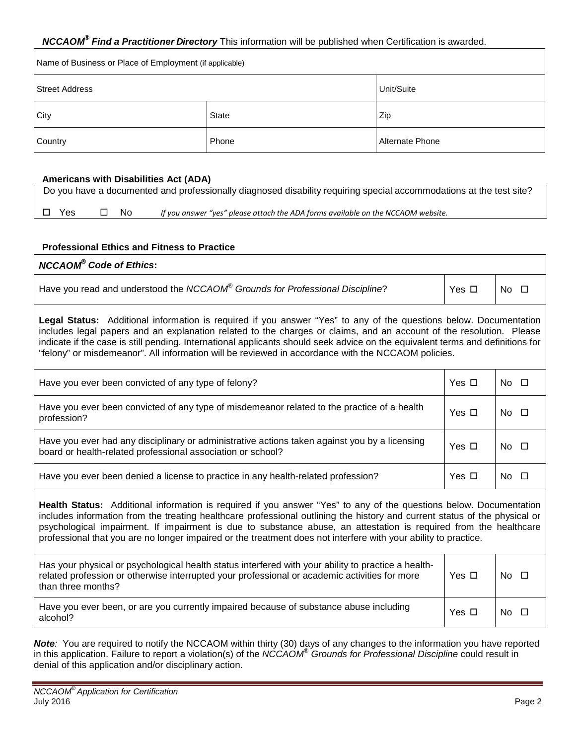## *NCCAOM® Find a Practitioner Directory* This information will be published when Certification is awarded.

| Name of Business or Place of Employment (if applicable) |              |                 |  |  |  |
|---------------------------------------------------------|--------------|-----------------|--|--|--|
| Street Address                                          | Unit/Suite   |                 |  |  |  |
| City                                                    | <b>State</b> | Zip             |  |  |  |
| Country                                                 | Phone        | Alternate Phone |  |  |  |

#### **Americans with Disabilities Act (ADA)**

|               |              | Do you have a documented and professionally diagnosed disability requiring special accommodations at the test site? |
|---------------|--------------|---------------------------------------------------------------------------------------------------------------------|
| $\square$ Yes | $\square$ No | If you answer "yes" please attach the ADA forms available on the NCCAOM website.                                    |

#### **Professional Ethics and Fitness to Practice**

| <b>NCCAOM®</b> Code of Ethics:                                                                                                                                                                                                                                                                                                                                                                                                                                                           |            |                                  |  |  |
|------------------------------------------------------------------------------------------------------------------------------------------------------------------------------------------------------------------------------------------------------------------------------------------------------------------------------------------------------------------------------------------------------------------------------------------------------------------------------------------|------------|----------------------------------|--|--|
| Have you read and understood the NCCAOM® Grounds for Professional Discipline?                                                                                                                                                                                                                                                                                                                                                                                                            | Yes $\Box$ | No<br>$\Box$                     |  |  |
| Legal Status: Additional information is required if you answer "Yes" to any of the questions below. Documentation<br>includes legal papers and an explanation related to the charges or claims, and an account of the resolution. Please<br>indicate if the case is still pending. International applicants should seek advice on the equivalent terms and definitions for<br>"felony" or misdemeanor". All information will be reviewed in accordance with the NCCAOM policies.         |            |                                  |  |  |
| Have you ever been convicted of any type of felony?                                                                                                                                                                                                                                                                                                                                                                                                                                      | Yes $\Box$ | No $\square$                     |  |  |
| Have you ever been convicted of any type of misdemeanor related to the practice of a health<br>profession?                                                                                                                                                                                                                                                                                                                                                                               | Yes $\Box$ | No.<br>$\Box$                    |  |  |
| Have you ever had any disciplinary or administrative actions taken against you by a licensing<br>board or health-related professional association or school?                                                                                                                                                                                                                                                                                                                             | Yes $\Box$ | N <sub>o</sub><br>$\overline{a}$ |  |  |
| Have you ever been denied a license to practice in any health-related profession?                                                                                                                                                                                                                                                                                                                                                                                                        | Yes $\Box$ | No.<br>$\Box$                    |  |  |
| Health Status: Additional information is required if you answer "Yes" to any of the questions below. Documentation<br>includes information from the treating healthcare professional outlining the history and current status of the physical or<br>psychological impairment. If impairment is due to substance abuse, an attestation is required from the healthcare<br>professional that you are no longer impaired or the treatment does not interfere with your ability to practice. |            |                                  |  |  |
| Has your physical or psychological health status interfered with your ability to practice a health-<br>related profession or otherwise interrupted your professional or academic activities for more<br>than three months?                                                                                                                                                                                                                                                               | Yes $\Box$ | N <sub>o</sub><br>$\Box$         |  |  |
| Have you ever been, or are you currently impaired because of substance abuse including<br>alcohol?                                                                                                                                                                                                                                                                                                                                                                                       | Yes $\Box$ | No.<br>$\Box$                    |  |  |

*Note:* You are required to notify the NCCAOM within thirty (30) days of any changes to the information you have reported in this application. Failure to report a violation(s) of the *NCCAOM® Grounds for Professional Discipline* could result in denial of this application and/or disciplinary action.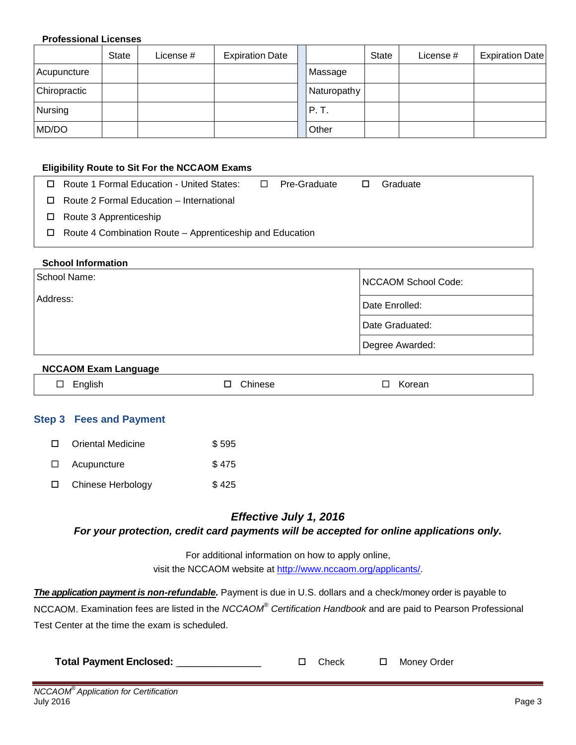#### **Professional Licenses**

|              | <b>State</b> | License # | <b>Expiration Date</b> |             | <b>State</b> | License # | <b>Expiration Date</b> |
|--------------|--------------|-----------|------------------------|-------------|--------------|-----------|------------------------|
| Acupuncture  |              |           |                        | Massage     |              |           |                        |
| Chiropractic |              |           |                        | Naturopathy |              |           |                        |
| Nursing      |              |           |                        | P.T.        |              |           |                        |
| MD/DO        |              |           |                        | Other       |              |           |                        |

#### **Eligibility Route to Sit For the NCCAOM Exams**

| $\Box$ Route 1 Formal Education - United States:                | $\Box$ | Pre-Graduate | П | Graduate |
|-----------------------------------------------------------------|--------|--------------|---|----------|
| $\Box$ Route 2 Formal Education – International                 |        |              |   |          |
| $\Box$ Route 3 Apprenticeship                                   |        |              |   |          |
| $\Box$ Route 4 Combination Route – Apprenticeship and Education |        |              |   |          |
|                                                                 |        |              |   |          |

## **School Information**

| School Name:               | NCCAOM School Code: |
|----------------------------|---------------------|
| Address:<br>Date Enrolled: |                     |
|                            | Date Graduated:     |
|                            | Degree Awarded:     |

## **NCCAOM Exam Language**

|  | naus.<br>$\overline{\phantom{0}}$<br>__<br>. .<br>$-$ | $\sim$ .<br>nesr<br>:hır<br>______ | orean |  |
|--|-------------------------------------------------------|------------------------------------|-------|--|
|--|-------------------------------------------------------|------------------------------------|-------|--|

## **Step 3 Fees and Payment**

| $\Box$ | Oriental Medicine | \$595 |
|--------|-------------------|-------|
| $\Box$ | Acupuncture       | \$475 |
|        | Chinese Herbology | \$425 |

## *Effective July 1, 2016*

*For your protection, credit card payments will be accepted for online applications only.*

For additional information on how to apply online, visit the NCCAOM website at [http://www.nccaom.org/applicants/.](http://www.nccaom.org/applicants/)

*The application payment is non-refundable.* Payment is due in U.S. dollars and a check/money order is payable to NCCAOM. Examination fees are listed in the *NCCAOM® Certification Handbook* and are paid to Pearson Professional Test Center at the time the exam is scheduled.

| <b>Total Payment Enclosed:</b> |  | $\square$ Check |  | □ Money Order |
|--------------------------------|--|-----------------|--|---------------|
|--------------------------------|--|-----------------|--|---------------|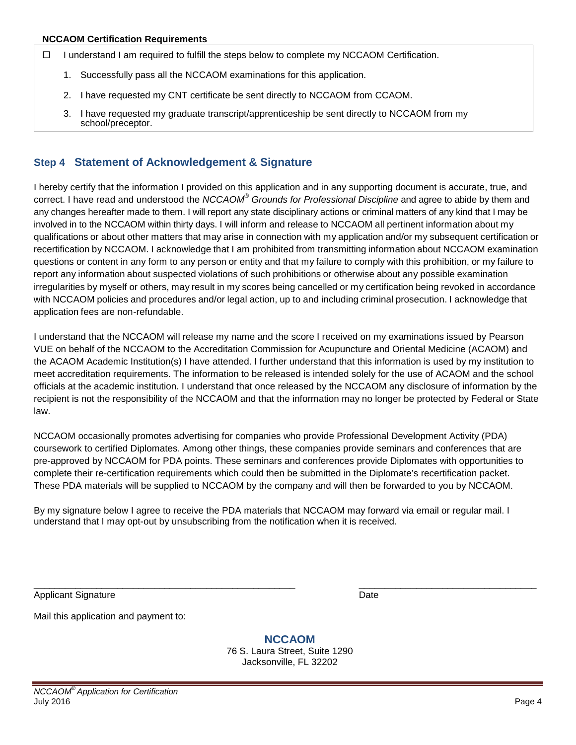- $\Box$  I understand I am required to fulfill the steps below to complete my NCCAOM Certification.
	- 1. Successfully pass all the NCCAOM examinations for this application.
	- 2. I have requested my CNT certificate be sent directly to NCCAOM from CCAOM.
	- 3. I have requested my graduate transcript/apprenticeship be sent directly to NCCAOM from my school/preceptor.

## **Step 4 Statement of Acknowledgement & Signature**

I hereby certify that the information I provided on this application and in any supporting document is accurate, true, and correct. I have read and understood the *NCCAOM® Grounds for Professional Discipline* and agree to abide by them and any changes hereafter made to them. I will report any state disciplinary actions or criminal matters of any kind that I may be involved in to the NCCAOM within thirty days. I will inform and release to NCCAOM all pertinent information about my qualifications or about other matters that may arise in connection with my application and/or my subsequent certification or recertification by NCCAOM. I acknowledge that I am prohibited from transmitting information about NCCAOM examination questions or content in any form to any person or entity and that my failure to comply with this prohibition, or my failure to report any information about suspected violations of such prohibitions or otherwise about any possible examination irregularities by myself or others, may result in my scores being cancelled or my certification being revoked in accordance with NCCAOM policies and procedures and/or legal action, up to and including criminal prosecution. I acknowledge that application fees are non-refundable.

I understand that the NCCAOM will release my name and the score I received on my examinations issued by Pearson VUE on behalf of the NCCAOM to the Accreditation Commission for Acupuncture and Oriental Medicine (ACAOM) and the ACAOM Academic Institution(s) I have attended. I further understand that this information is used by my institution to meet accreditation requirements. The information to be released is intended solely for the use of ACAOM and the school officials at the academic institution. I understand that once released by the NCCAOM any disclosure of information by the recipient is not the responsibility of the NCCAOM and that the information may no longer be protected by Federal or State law.

NCCAOM occasionally promotes advertising for companies who provide Professional Development Activity (PDA) coursework to certified Diplomates. Among other things, these companies provide seminars and conferences that are pre-approved by NCCAOM for PDA points. These seminars and conferences provide Diplomates with opportunities to complete their re-certification requirements which could then be submitted in the Diplomate's recertification packet. These PDA materials will be supplied to NCCAOM by the company and will then be forwarded to you by NCCAOM.

By my signature below I agree to receive the PDA materials that NCCAOM may forward via email or regular mail. I understand that I may opt-out by unsubscribing from the notification when it is received.

\_\_\_\_\_\_\_\_\_\_\_\_\_\_\_\_\_\_\_\_\_\_\_\_\_\_\_\_\_\_\_\_\_\_\_\_\_\_\_\_\_\_\_\_\_\_\_\_\_\_ \_\_\_\_\_\_\_\_\_\_\_\_\_\_\_\_\_\_\_\_\_\_\_\_\_\_\_\_\_\_\_\_\_\_ Applicant Signature Date

Mail this application and payment to:

**NCCAOM** 76 S. Laura Street, Suite 1290 Jacksonville, FL 32202